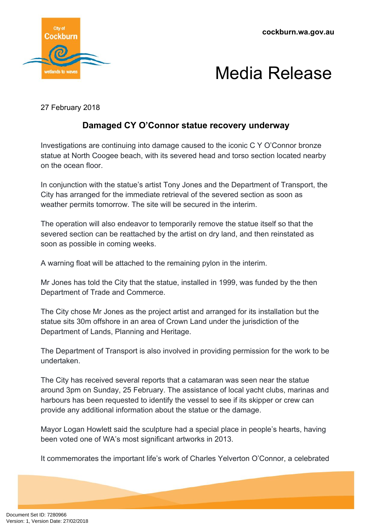**cockburn.wa.gov.au**





27 February 2018

## **Damaged CY O'Connor statue recovery underway**

Investigations are continuing into damage caused to the iconic C Y O'Connor bronze statue at North Coogee beach, with its severed head and torso section located nearby on the ocean floor.

In conjunction with the statue's artist Tony Jones and the Department of Transport, the City has arranged for the immediate retrieval of the severed section as soon as weather permits tomorrow. The site will be secured in the interim.

The operation will also endeavor to temporarily remove the statue itself so that the severed section can be reattached by the artist on dry land, and then reinstated as soon as possible in coming weeks.

A warning float will be attached to the remaining pylon in the interim.

Mr Jones has told the City that the statue, installed in 1999, was funded by the then Department of Trade and Commerce.

The City chose Mr Jones as the project artist and arranged for its installation but the statue sits 30m offshore in an area of Crown Land under the jurisdiction of the Department of Lands, Planning and Heritage.

The Department of Transport is also involved in providing permission for the work to be undertaken.

The City has received several reports that a catamaran was seen near the statue around 3pm on Sunday, 25 February. The assistance of local yacht clubs, marinas and harbours has been requested to identify the vessel to see if its skipper or crew can provide any additional information about the statue or the damage.

Mayor Logan Howlett said the sculpture had a special place in people's hearts, having been voted one of WA's most significant artworks in 2013.

It commemorates the important life's work of Charles Yelverton O'Connor, a celebrated